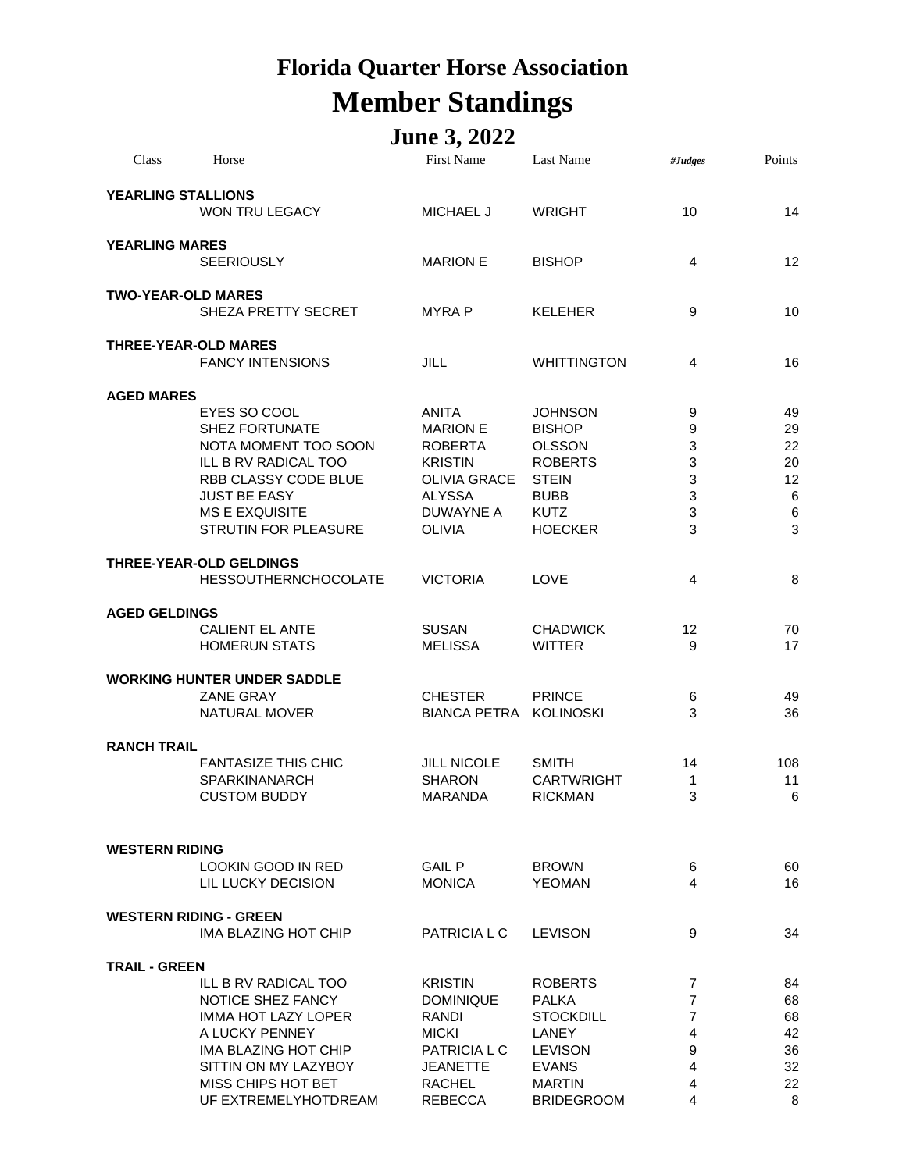## **Florida Quarter Horse Association Member Standings**

## **June 3, 2022**

| Class                     | Horse                              | <b>First Name</b>   | Last Name          | #Judges        | Points     |
|---------------------------|------------------------------------|---------------------|--------------------|----------------|------------|
| <b>YEARLING STALLIONS</b> |                                    |                     |                    |                |            |
|                           | <b>WON TRU LEGACY</b>              | <b>MICHAEL J</b>    | <b>WRIGHT</b>      | 10             | 14         |
| <b>YEARLING MARES</b>     |                                    |                     |                    |                |            |
|                           | <b>SEERIOUSLY</b>                  | <b>MARION E</b>     | <b>BISHOP</b>      | 4              | 12         |
|                           |                                    |                     |                    |                |            |
| <b>TWO-YEAR-OLD MARES</b> | SHEZA PRETTY SECRET                | <b>MYRAP</b>        | <b>KELEHER</b>     | 9              | 10         |
|                           |                                    |                     |                    |                |            |
|                           | <b>THREE-YEAR-OLD MARES</b>        |                     |                    |                |            |
|                           | <b>FANCY INTENSIONS</b>            | <b>JILL</b>         | <b>WHITTINGTON</b> | 4              | 16         |
| <b>AGED MARES</b>         |                                    |                     |                    |                |            |
|                           | EYES SO COOL                       | <b>ANITA</b>        | <b>JOHNSON</b>     | 9              | 49         |
|                           | <b>SHEZ FORTUNATE</b>              | <b>MARION E</b>     | <b>BISHOP</b>      | 9              | 29         |
|                           | NOTA MOMENT TOO SOON               | <b>ROBERTA</b>      | <b>OLSSON</b>      | 3              | 22         |
|                           | ILL B RV RADICAL TOO               | <b>KRISTIN</b>      | <b>ROBERTS</b>     | 3              | 20         |
|                           | RBB CLASSY CODE BLUE               | OLIVIA GRACE        | <b>STEIN</b>       | 3              | 12         |
|                           | <b>JUST BE EASY</b>                | <b>ALYSSA</b>       | <b>BUBB</b>        | 3              | $\,6$      |
|                           | <b>MS E EXQUISITE</b>              | <b>DUWAYNE A</b>    | <b>KUTZ</b>        | 3<br>3         | $\,6$<br>3 |
|                           | STRUTIN FOR PLEASURE               | <b>OLIVIA</b>       | <b>HOECKER</b>     |                |            |
|                           | <b>THREE-YEAR-OLD GELDINGS</b>     |                     |                    |                |            |
|                           | <b>HESSOUTHERNCHOCOLATE</b>        | <b>VICTORIA</b>     | <b>LOVE</b>        | $\overline{4}$ | 8          |
| <b>AGED GELDINGS</b>      |                                    |                     |                    |                |            |
|                           | <b>CALIENT EL ANTE</b>             | <b>SUSAN</b>        | <b>CHADWICK</b>    | 12             | 70         |
|                           | <b>HOMERUN STATS</b>               | <b>MELISSA</b>      | <b>WITTER</b>      | 9              | 17         |
|                           | <b>WORKING HUNTER UNDER SADDLE</b> |                     |                    |                |            |
|                           | <b>ZANE GRAY</b>                   | <b>CHESTER</b>      | <b>PRINCE</b>      | 6              | 49         |
|                           | NATURAL MOVER                      | <b>BIANCA PETRA</b> | <b>KOLINOSKI</b>   | 3              | 36         |
|                           |                                    |                     |                    |                |            |
| <b>RANCH TRAIL</b>        |                                    |                     |                    |                |            |
|                           | <b>FANTASIZE THIS CHIC</b>         | <b>JILL NICOLE</b>  | <b>SMITH</b>       | 14             | 108        |
|                           | <b>SPARKINANARCH</b>               | <b>SHARON</b>       | <b>CARTWRIGHT</b>  | 1              | 11         |
|                           | <b>CUSTOM BUDDY</b>                | <b>MARANDA</b>      | <b>RICKMAN</b>     | 3              | 6          |
|                           |                                    |                     |                    |                |            |
| <b>WESTERN RIDING</b>     |                                    |                     |                    |                |            |
|                           | LOOKIN GOOD IN RED                 | <b>GAIL P</b>       | <b>BROWN</b>       | 6              | 60         |
|                           | LIL LUCKY DECISION                 | <b>MONICA</b>       | <b>YEOMAN</b>      | 4              | 16         |
|                           | <b>WESTERN RIDING - GREEN</b>      |                     |                    |                |            |
|                           | IMA BLAZING HOT CHIP               | PATRICIA L C        | <b>LEVISON</b>     | 9              | 34         |
| <b>TRAIL - GREEN</b>      |                                    |                     |                    |                |            |
|                           | ILL B RV RADICAL TOO               | <b>KRISTIN</b>      | <b>ROBERTS</b>     | 7              | 84         |
|                           | NOTICE SHEZ FANCY                  | <b>DOMINIQUE</b>    | <b>PALKA</b>       | 7              | 68         |
|                           | <b>IMMA HOT LAZY LOPER</b>         | RANDI               | <b>STOCKDILL</b>   | 7              | 68         |
|                           | A LUCKY PENNEY                     | <b>MICKI</b>        | LANEY              | 4              | 42         |
|                           | <b>IMA BLAZING HOT CHIP</b>        | PATRICIA L C        | <b>LEVISON</b>     | 9              | 36         |
|                           | SITTIN ON MY LAZYBOY               | JEANETTE            | <b>EVANS</b>       | 4              | 32         |
|                           | MISS CHIPS HOT BET                 | <b>RACHEL</b>       | <b>MARTIN</b>      | 4              | 22         |
|                           | UF EXTREMELYHOTDREAM               | <b>REBECCA</b>      | <b>BRIDEGROOM</b>  | 4              | 8          |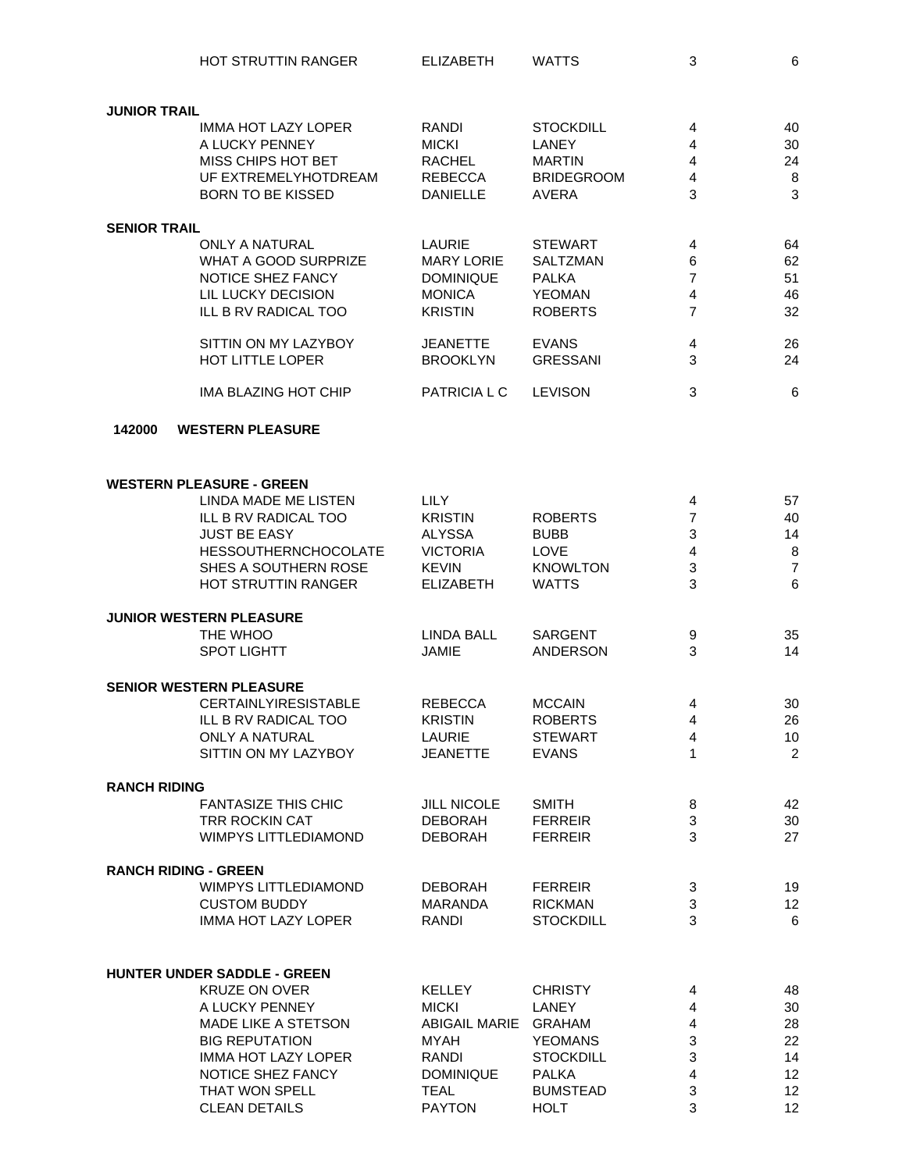| HOT STRUTTIN RANGER | <b>ELIZABETH</b> | WATTS |  |  |
|---------------------|------------------|-------|--|--|
|---------------------|------------------|-------|--|--|

| IGER | <b>ELIZABE I H</b> | <b>VVA</b> |
|------|--------------------|------------|
|      |                    |            |

| <b>JUNIOR TRAIL</b>         |                                    |                    |                   |                |                |
|-----------------------------|------------------------------------|--------------------|-------------------|----------------|----------------|
|                             | <b>IMMA HOT LAZY LOPER</b>         | RANDI              | <b>STOCKDILL</b>  | 4              | 40             |
|                             | A LUCKY PENNEY                     | <b>MICKI</b>       | <b>LANEY</b>      | 4              | 30             |
|                             | MISS CHIPS HOT BET                 | <b>RACHEL</b>      | <b>MARTIN</b>     | 4              | 24             |
|                             | UF EXTREMELYHOTDREAM               |                    |                   |                |                |
|                             |                                    | <b>REBECCA</b>     | <b>BRIDEGROOM</b> | $\overline{4}$ | 8              |
|                             | <b>BORN TO BE KISSED</b>           | <b>DANIELLE</b>    | <b>AVERA</b>      | 3              | 3              |
| <b>SENIOR TRAIL</b>         |                                    |                    |                   |                |                |
|                             | <b>ONLY A NATURAL</b>              | LAURIE             | <b>STEWART</b>    | 4              | 64             |
|                             | WHAT A GOOD SURPRIZE               | <b>MARY LORIE</b>  | <b>SALTZMAN</b>   | 6              | 62             |
|                             | NOTICE SHEZ FANCY                  | <b>DOMINIQUE</b>   | <b>PALKA</b>      | $\overline{7}$ | 51             |
|                             | LIL LUCKY DECISION                 | <b>MONICA</b>      | <b>YEOMAN</b>     | $\overline{4}$ | 46             |
|                             |                                    |                    |                   |                |                |
|                             | ILL B RV RADICAL TOO               | <b>KRISTIN</b>     | <b>ROBERTS</b>    | $\overline{7}$ | 32             |
|                             | SITTIN ON MY LAZYBOY               | <b>JEANETTE</b>    | <b>EVANS</b>      | 4              | 26             |
|                             | HOT LITTLE LOPER                   | <b>BROOKLYN</b>    | <b>GRESSANI</b>   | 3              | 24             |
|                             | <b>IMA BLAZING HOT CHIP</b>        | PATRICIA L C       | <b>LEVISON</b>    | 3              | $\,6$          |
|                             |                                    |                    |                   |                |                |
| 142000                      | <b>WESTERN PLEASURE</b>            |                    |                   |                |                |
|                             |                                    |                    |                   |                |                |
|                             | <b>WESTERN PLEASURE - GREEN</b>    |                    |                   |                |                |
|                             | LINDA MADE ME LISTEN               | <b>LILY</b>        |                   | 4              | 57             |
|                             | ILL B RV RADICAL TOO               | <b>KRISTIN</b>     | <b>ROBERTS</b>    | 7              | 40             |
|                             | <b>JUST BE EASY</b>                | <b>ALYSSA</b>      | <b>BUBB</b>       | 3              | 14             |
|                             | <b>HESSOUTHERNCHOCOLATE</b>        | <b>VICTORIA</b>    | LOVE              | $\overline{4}$ | 8              |
|                             | SHES A SOUTHERN ROSE               | <b>KEVIN</b>       | <b>KNOWLTON</b>   | $\mathfrak{S}$ | $\overline{7}$ |
|                             |                                    |                    |                   |                |                |
|                             | HOT STRUTTIN RANGER                | <b>ELIZABETH</b>   | <b>WATTS</b>      | 3              | 6              |
|                             | <b>JUNIOR WESTERN PLEASURE</b>     |                    |                   |                |                |
|                             | THE WHOO                           | <b>LINDA BALL</b>  | SARGENT           | 9              | 35             |
|                             | <b>SPOT LIGHTT</b>                 | <b>JAMIE</b>       | <b>ANDERSON</b>   | 3              | 14             |
|                             |                                    |                    |                   |                |                |
|                             | <b>SENIOR WESTERN PLEASURE</b>     |                    |                   |                |                |
|                             | <b>CERTAINLYIRESISTABLE</b>        | <b>REBECCA</b>     | <b>MCCAIN</b>     | 4              | 30             |
|                             | ILL B RV RADICAL TOO               | <b>KRISTIN</b>     | <b>ROBERTS</b>    | $\overline{4}$ | 26             |
|                             | <b>ONLY A NATURAL</b>              | LAURIE             | <b>STEWART</b>    | 4              | 10             |
|                             | SITTIN ON MY LAZYBOY               | <b>JEANETTE</b>    | <b>EVANS</b>      | $\mathbf{1}$   | $\overline{2}$ |
| <b>RANCH RIDING</b>         |                                    |                    |                   |                |                |
|                             | <b>FANTASIZE THIS CHIC</b>         | <b>JILL NICOLE</b> | <b>SMITH</b>      | 8              | 42             |
|                             | <b>TRR ROCKIN CAT</b>              | <b>DEBORAH</b>     | <b>FERREIR</b>    | 3              | 30             |
|                             | <b>WIMPYS LITTLEDIAMOND</b>        | <b>DEBORAH</b>     | <b>FERREIR</b>    | 3              | 27             |
|                             |                                    |                    |                   |                |                |
| <b>RANCH RIDING - GREEN</b> |                                    |                    |                   |                |                |
|                             | <b>WIMPYS LITTLEDIAMOND</b>        | <b>DEBORAH</b>     | <b>FERREIR</b>    | 3              | 19             |
|                             | <b>CUSTOM BUDDY</b>                | MARANDA            | <b>RICKMAN</b>    | 3              | 12             |
|                             | <b>IMMA HOT LAZY LOPER</b>         | <b>RANDI</b>       | <b>STOCKDILL</b>  | 3              | 6              |
|                             |                                    |                    |                   |                |                |
|                             | <b>HUNTER UNDER SADDLE - GREEN</b> |                    |                   |                |                |
|                             | <b>KRUZE ON OVER</b>               | <b>KELLEY</b>      | <b>CHRISTY</b>    | 4              | 48             |
|                             | A LUCKY PENNEY                     | <b>MICKI</b>       | LANEY             | 4              | 30             |
|                             | <b>MADE LIKE A STETSON</b>         | ABIGAIL MARIE      | <b>GRAHAM</b>     | 4              | 28             |
|                             | <b>BIG REPUTATION</b>              | <b>MYAH</b>        | <b>YEOMANS</b>    | 3              | 22             |
|                             | IMMA HOT LAZY LOPER                | RANDI              | <b>STOCKDILL</b>  | 3              | 14             |

IMMA HOT LAZY LOPER RANDI STOCKDILL 3<br>14<br>12 12 15 16 16 16 16 16 17 18 NOTICE SHEZ FANCY DOMINIQUE PALKA 4 12 THAT WON SPELL TEAL BUMSTEAD 3 12<br>CLEAN DETAILS CLEAN PAYTON HOLT 3 12

**CLEAN DETAILS**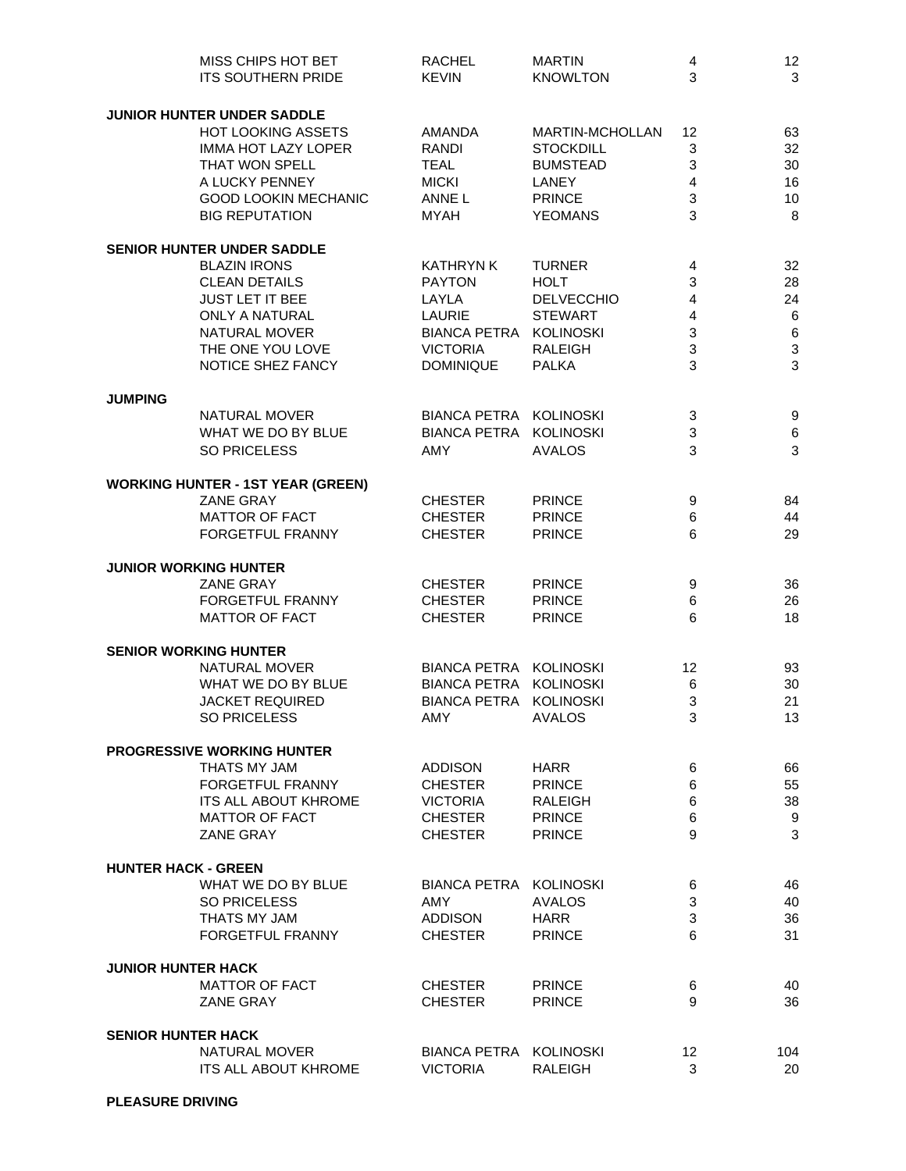|                            | MISS CHIPS HOT BET<br><b>ITS SOUTHERN PRIDE</b> | <b>RACHEL</b><br><b>KEVIN</b> | <b>MARTIN</b><br><b>KNOWLTON</b> | 4<br>3 | 12<br>3                   |
|----------------------------|-------------------------------------------------|-------------------------------|----------------------------------|--------|---------------------------|
|                            | <b>JUNIOR HUNTER UNDER SADDLE</b>               |                               |                                  |        |                           |
|                            | <b>HOT LOOKING ASSETS</b>                       | AMANDA                        | MARTIN-MCHOLLAN                  | 12     | 63                        |
|                            | <b>IMMA HOT LAZY LOPER</b>                      | RANDI                         | <b>STOCKDILL</b>                 | 3      | 32                        |
|                            | THAT WON SPELL                                  | <b>TEAL</b>                   | <b>BUMSTEAD</b>                  | 3      | 30                        |
|                            | A LUCKY PENNEY                                  | <b>MICKI</b>                  | LANEY                            | 4      | 16                        |
|                            | <b>GOOD LOOKIN MECHANIC</b>                     | ANNE L                        | <b>PRINCE</b>                    | 3      | 10                        |
|                            | <b>BIG REPUTATION</b>                           | <b>MYAH</b>                   | <b>YEOMANS</b>                   | 3      | 8                         |
|                            | <b>SENIOR HUNTER UNDER SADDLE</b>               |                               |                                  |        |                           |
|                            | <b>BLAZIN IRONS</b>                             | <b>KATHRYN K</b>              | <b>TURNER</b>                    | 4      | 32                        |
|                            | <b>CLEAN DETAILS</b>                            | <b>PAYTON</b>                 | <b>HOLT</b>                      | 3      | 28                        |
|                            | <b>JUST LET IT BEE</b>                          | LAYLA                         | <b>DELVECCHIO</b>                | 4      | 24                        |
|                            | <b>ONLY A NATURAL</b>                           | <b>LAURIE</b>                 | <b>STEWART</b>                   | 4      | $\,6$                     |
|                            | NATURAL MOVER                                   | BIANCA PETRA KOLINOSKI        |                                  | 3      | $\,6\,$                   |
|                            | THE ONE YOU LOVE                                | <b>VICTORIA</b>               | <b>RALEIGH</b>                   | 3      | $\ensuremath{\mathsf{3}}$ |
|                            | NOTICE SHEZ FANCY                               | <b>DOMINIQUE</b>              | <b>PALKA</b>                     | 3      | 3                         |
| <b>JUMPING</b>             |                                                 |                               |                                  |        |                           |
|                            | <b>NATURAL MOVER</b>                            | BIANCA PETRA KOLINOSKI        |                                  | 3      | 9                         |
|                            | WHAT WE DO BY BLUE                              | BIANCA PETRA KOLINOSKI        |                                  | 3      | 6                         |
|                            | <b>SO PRICELESS</b>                             | <b>AMY</b>                    | <b>AVALOS</b>                    | 3      | $\mathbf{3}$              |
|                            | <b>WORKING HUNTER - 1ST YEAR (GREEN)</b>        |                               |                                  |        |                           |
|                            | <b>ZANE GRAY</b>                                | <b>CHESTER</b>                | <b>PRINCE</b>                    | 9      | 84                        |
|                            | <b>MATTOR OF FACT</b>                           | <b>CHESTER</b>                | <b>PRINCE</b>                    | 6      | 44                        |
|                            | FORGETFUL FRANNY                                | <b>CHESTER</b>                | <b>PRINCE</b>                    | 6      | 29                        |
|                            | <b>JUNIOR WORKING HUNTER</b>                    |                               |                                  |        |                           |
|                            | <b>ZANE GRAY</b>                                | <b>CHESTER</b>                | <b>PRINCE</b>                    | 9      | 36                        |
|                            | FORGETFUL FRANNY                                | <b>CHESTER</b>                | <b>PRINCE</b>                    | 6      | 26                        |
|                            | <b>MATTOR OF FACT</b>                           | <b>CHESTER</b>                | <b>PRINCE</b>                    | 6      | 18                        |
|                            | <b>SENIOR WORKING HUNTER</b>                    |                               |                                  |        |                           |
|                            | <b>NATURAL MOVER</b>                            | BIANCA PETRA KOLINOSKI        |                                  | 12     | 93                        |
|                            | WHAT WE DO BY BLUE                              | BIANCA PETRA KOLINOSKI        |                                  | 6      | 30                        |
|                            | <b>JACKET REQUIRED</b>                          | BIANCA PETRA KOLINOSKI        |                                  | 3      | 21                        |
|                            | SO PRICELESS                                    | AMY                           | AVALOS                           | 3      | 13                        |
|                            | <b>PROGRESSIVE WORKING HUNTER</b>               |                               |                                  |        |                           |
|                            | THATS MY JAM                                    | <b>ADDISON</b>                | <b>HARR</b>                      | 6      | 66                        |
|                            | <b>FORGETFUL FRANNY</b>                         | <b>CHESTER</b>                | <b>PRINCE</b>                    | 6      | 55                        |
|                            | <b>ITS ALL ABOUT KHROME</b>                     | <b>VICTORIA</b>               | RALEIGH                          | 6      | 38                        |
|                            | <b>MATTOR OF FACT</b>                           | <b>CHESTER</b>                | <b>PRINCE</b>                    | 6      | 9                         |
|                            | <b>ZANE GRAY</b>                                | <b>CHESTER</b>                | <b>PRINCE</b>                    | 9      | 3                         |
| <b>HUNTER HACK - GREEN</b> |                                                 |                               |                                  |        |                           |
|                            | WHAT WE DO BY BLUE                              | BIANCA PETRA KOLINOSKI        |                                  | 6      | 46                        |
|                            | <b>SO PRICELESS</b>                             | <b>AMY</b>                    | <b>AVALOS</b>                    | 3      | 40                        |
|                            | THATS MY JAM                                    | <b>ADDISON</b>                | <b>HARR</b>                      | 3      | 36                        |
|                            | <b>FORGETFUL FRANNY</b>                         | <b>CHESTER</b>                | <b>PRINCE</b>                    | 6      | 31                        |
| <b>JUNIOR HUNTER HACK</b>  |                                                 |                               |                                  |        |                           |
|                            | <b>MATTOR OF FACT</b>                           | <b>CHESTER</b>                | <b>PRINCE</b>                    | 6      | 40                        |
|                            | <b>ZANE GRAY</b>                                | <b>CHESTER</b>                | <b>PRINCE</b>                    | 9      | 36                        |
| <b>SENIOR HUNTER HACK</b>  |                                                 |                               |                                  |        |                           |
|                            | NATURAL MOVER                                   | BIANCA PETRA KOLINOSKI        |                                  | 12     | 104                       |
|                            | <b>ITS ALL ABOUT KHROME</b>                     | <b>VICTORIA</b>               | <b>RALEIGH</b>                   | 3      | 20                        |